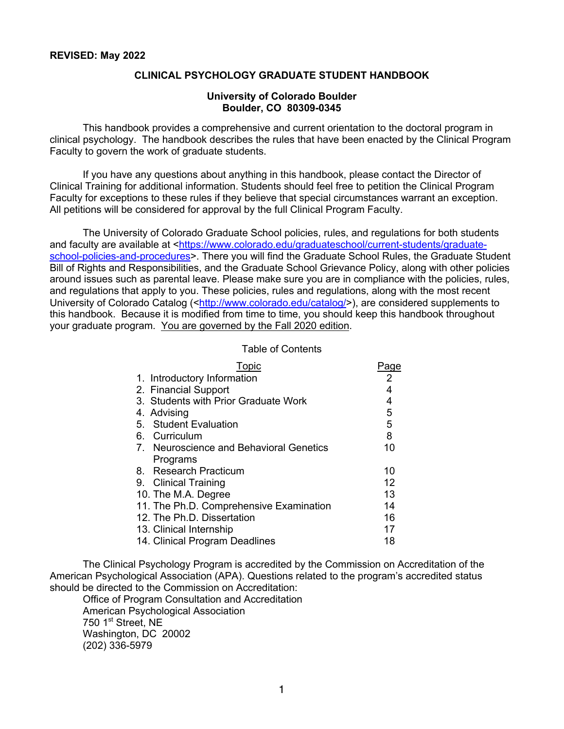#### **CLINICAL PSYCHOLOGY GRADUATE STUDENT HANDBOOK**

#### **University of Colorado Boulder Boulder, CO 80309-0345**

This handbook provides a comprehensive and current orientation to the doctoral program in clinical psychology. The handbook describes the rules that have been enacted by the Clinical Program Faculty to govern the work of graduate students.

If you have any questions about anything in this handbook, please contact the Director of Clinical Training for additional information. Students should feel free to petition the Clinical Program Faculty for exceptions to these rules if they believe that special circumstances warrant an exception. All petitions will be considered for approval by the full Clinical Program Faculty.

The University of Colorado Graduate School policies, rules, and regulations for both students and faculty are available at <https://www.colorado.edu/graduateschool/current-students/graduateschool-policies-and-procedures>. There you will find the Graduate School Rules, the Graduate Student Bill of Rights and Responsibilities, and the Graduate School Grievance Policy, along with other policies around issues such as parental leave. Please make sure you are in compliance with the policies, rules, and regulations that apply to you. These policies, rules and regulations, along with the most recent University of Colorado Catalog (<http://www.colorado.edu/catalog/>), are considered supplements to this handbook. Because it is modified from time to time, you should keep this handbook throughout your graduate program. You are governed by the Fall 2020 edition.

#### Table of Contents

| Topic                                   | aqe            |
|-----------------------------------------|----------------|
| 1. Introductory Information             | $\overline{2}$ |
| 2. Financial Support                    | 4              |
| 3. Students with Prior Graduate Work    | 4              |
| 4. Advising                             | 5              |
| 5. Student Evaluation                   | 5              |
| 6. Curriculum                           | 8              |
| 7. Neuroscience and Behavioral Genetics | 10             |
| Programs                                |                |
| 8. Research Practicum                   | 10             |
| 9. Clinical Training                    | 12             |
| 10. The M.A. Degree                     | 13             |
| 11. The Ph.D. Comprehensive Examination | 14             |
| 12. The Ph.D. Dissertation              | 16             |
| 13. Clinical Internship                 | 17             |
| 14. Clinical Program Deadlines          | 18             |

The Clinical Psychology Program is accredited by the Commission on Accreditation of the American Psychological Association (APA). Questions related to the program's accredited status should be directed to the Commission on Accreditation:

Office of Program Consultation and Accreditation American Psychological Association 750 1<sup>st</sup> Street, NE Washington, DC 20002 (202) 336-5979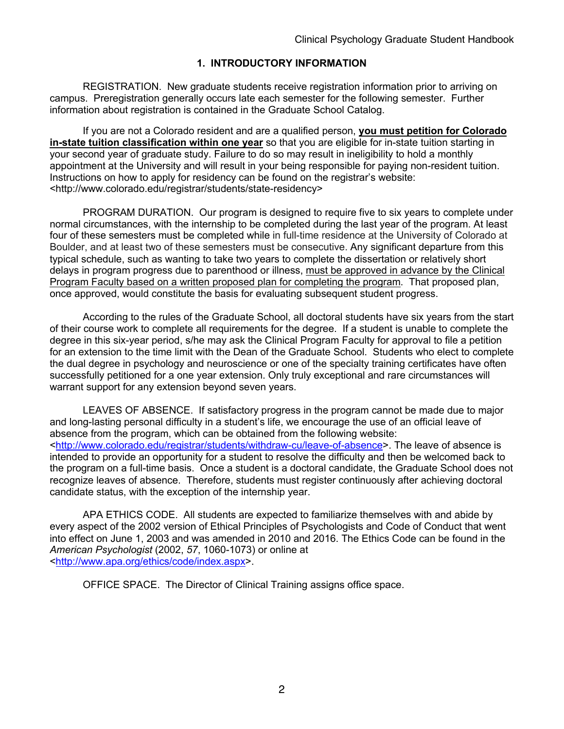# **1. INTRODUCTORY INFORMATION**

REGISTRATION. New graduate students receive registration information prior to arriving on campus. Preregistration generally occurs late each semester for the following semester. Further information about registration is contained in the Graduate School Catalog.

If you are not a Colorado resident and are a qualified person, **you must petition for Colorado in-state tuition classification within one year** so that you are eligible for in-state tuition starting in your second year of graduate study. Failure to do so may result in ineligibility to hold a monthly appointment at the University and will result in your being responsible for paying non-resident tuition. Instructions on how to apply for residency can be found on the registrar's website: <http://www.colorado.edu/registrar/students/state-residency>

PROGRAM DURATION. Our program is designed to require five to six years to complete under normal circumstances, with the internship to be completed during the last year of the program. At least four of these semesters must be completed while in full-time residence at the University of Colorado at Boulder, and at least two of these semesters must be consecutive. Any significant departure from this typical schedule, such as wanting to take two years to complete the dissertation or relatively short delays in program progress due to parenthood or illness, must be approved in advance by the Clinical Program Faculty based on a written proposed plan for completing the program. That proposed plan, once approved, would constitute the basis for evaluating subsequent student progress.

According to the rules of the Graduate School, all doctoral students have six years from the start of their course work to complete all requirements for the degree. If a student is unable to complete the degree in this six-year period, s/he may ask the Clinical Program Faculty for approval to file a petition for an extension to the time limit with the Dean of the Graduate School. Students who elect to complete the dual degree in psychology and neuroscience or one of the specialty training certificates have often successfully petitioned for a one year extension. Only truly exceptional and rare circumstances will warrant support for any extension beyond seven years.

LEAVES OF ABSENCE. If satisfactory progress in the program cannot be made due to major and long-lasting personal difficulty in a student's life, we encourage the use of an official leave of absence from the program, which can be obtained from the following website: <http://www.colorado.edu/registrar/students/withdraw-cu/leave-of-absence>. The leave of absence is intended to provide an opportunity for a student to resolve the difficulty and then be welcomed back to the program on a full-time basis. Once a student is a doctoral candidate, the Graduate School does not recognize leaves of absence. Therefore, students must register continuously after achieving doctoral candidate status, with the exception of the internship year.

APA ETHICS CODE. All students are expected to familiarize themselves with and abide by every aspect of the 2002 version of Ethical Principles of Psychologists and Code of Conduct that went into effect on June 1, 2003 and was amended in 2010 and 2016. The Ethics Code can be found in the *American Psychologist* (2002, *57*, 1060-1073) or online at <http://www.apa.org/ethics/code/index.aspx>.

OFFICE SPACE. The Director of Clinical Training assigns office space.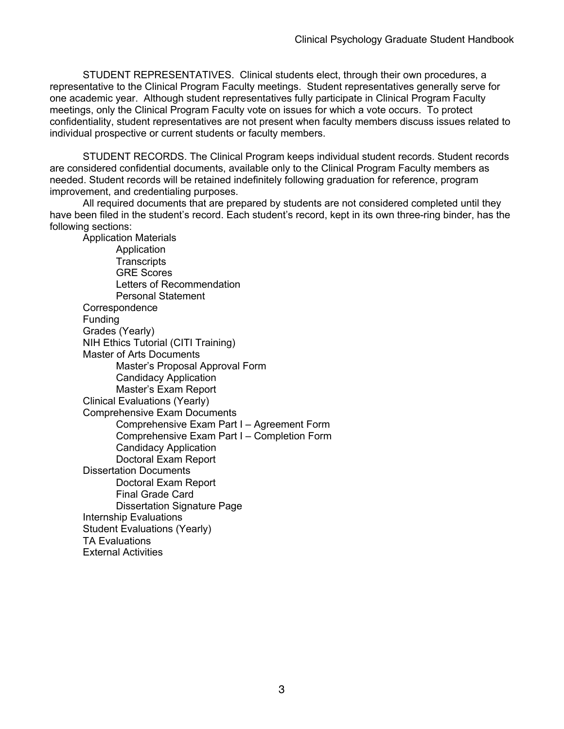STUDENT REPRESENTATIVES. Clinical students elect, through their own procedures, a representative to the Clinical Program Faculty meetings. Student representatives generally serve for one academic year. Although student representatives fully participate in Clinical Program Faculty meetings, only the Clinical Program Faculty vote on issues for which a vote occurs. To protect confidentiality, student representatives are not present when faculty members discuss issues related to individual prospective or current students or faculty members.

STUDENT RECORDS. The Clinical Program keeps individual student records. Student records are considered confidential documents, available only to the Clinical Program Faculty members as needed. Student records will be retained indefinitely following graduation for reference, program improvement, and credentialing purposes.

All required documents that are prepared by students are not considered completed until they have been filed in the student's record. Each student's record, kept in its own three-ring binder, has the following sections:

Application Materials Application **Transcripts** GRE Scores Letters of Recommendation Personal Statement **Correspondence** Funding Grades (Yearly) NIH Ethics Tutorial (CITI Training) Master of Arts Documents Master's Proposal Approval Form Candidacy Application Master's Exam Report Clinical Evaluations (Yearly) Comprehensive Exam Documents Comprehensive Exam Part I – Agreement Form Comprehensive Exam Part I – Completion Form Candidacy Application Doctoral Exam Report Dissertation Documents Doctoral Exam Report Final Grade Card Dissertation Signature Page Internship Evaluations Student Evaluations (Yearly) TA Evaluations External Activities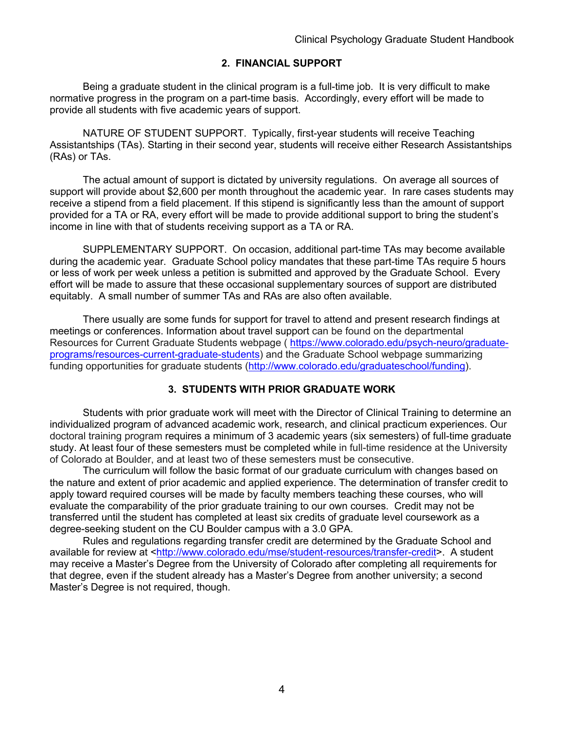# **2. FINANCIAL SUPPORT**

Being a graduate student in the clinical program is a full-time job. It is very difficult to make normative progress in the program on a part-time basis. Accordingly, every effort will be made to provide all students with five academic years of support.

NATURE OF STUDENT SUPPORT. Typically, first-year students will receive Teaching Assistantships (TAs). Starting in their second year, students will receive either Research Assistantships (RAs) or TAs.

The actual amount of support is dictated by university regulations. On average all sources of support will provide about \$2,600 per month throughout the academic year. In rare cases students may receive a stipend from a field placement. If this stipend is significantly less than the amount of support provided for a TA or RA, every effort will be made to provide additional support to bring the student's income in line with that of students receiving support as a TA or RA.

SUPPLEMENTARY SUPPORT. On occasion, additional part-time TAs may become available during the academic year. Graduate School policy mandates that these part-time TAs require 5 hours or less of work per week unless a petition is submitted and approved by the Graduate School. Every effort will be made to assure that these occasional supplementary sources of support are distributed equitably. A small number of summer TAs and RAs are also often available.

There usually are some funds for support for travel to attend and present research findings at meetings or conferences. Information about travel support can be found on the departmental Resources for Current Graduate Students webpage ( https://www.colorado.edu/psych-neuro/graduateprograms/resources-current-graduate-students) and the Graduate School webpage summarizing funding opportunities for graduate students (http://www.colorado.edu/graduateschool/funding).

# **3. STUDENTS WITH PRIOR GRADUATE WORK**

Students with prior graduate work will meet with the Director of Clinical Training to determine an individualized program of advanced academic work, research, and clinical practicum experiences. Our doctoral training program requires a minimum of 3 academic years (six semesters) of full-time graduate study. At least four of these semesters must be completed while in full-time residence at the University of Colorado at Boulder, and at least two of these semesters must be consecutive.

The curriculum will follow the basic format of our graduate curriculum with changes based on the nature and extent of prior academic and applied experience. The determination of transfer credit to apply toward required courses will be made by faculty members teaching these courses, who will evaluate the comparability of the prior graduate training to our own courses. Credit may not be transferred until the student has completed at least six credits of graduate level coursework as a degree-seeking student on the CU Boulder campus with a 3.0 GPA.

Rules and regulations regarding transfer credit are determined by the Graduate School and available for review at <http://www.colorado.edu/mse/student-resources/transfer-credit>. A student may receive a Master's Degree from the University of Colorado after completing all requirements for that degree, even if the student already has a Master's Degree from another university; a second Master's Degree is not required, though.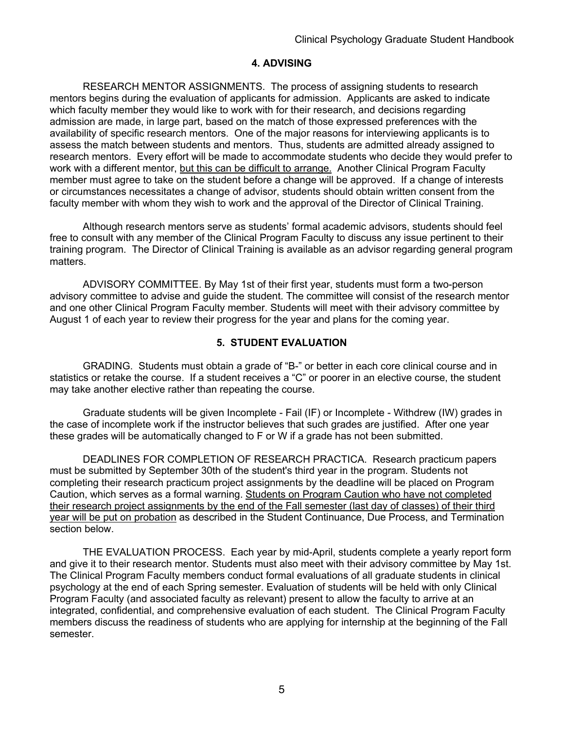## **4. ADVISING**

RESEARCH MENTOR ASSIGNMENTS. The process of assigning students to research mentors begins during the evaluation of applicants for admission. Applicants are asked to indicate which faculty member they would like to work with for their research, and decisions regarding admission are made, in large part, based on the match of those expressed preferences with the availability of specific research mentors. One of the major reasons for interviewing applicants is to assess the match between students and mentors. Thus, students are admitted already assigned to research mentors. Every effort will be made to accommodate students who decide they would prefer to work with a different mentor, but this can be difficult to arrange. Another Clinical Program Faculty member must agree to take on the student before a change will be approved. If a change of interests or circumstances necessitates a change of advisor, students should obtain written consent from the faculty member with whom they wish to work and the approval of the Director of Clinical Training.

Although research mentors serve as students' formal academic advisors, students should feel free to consult with any member of the Clinical Program Faculty to discuss any issue pertinent to their training program. The Director of Clinical Training is available as an advisor regarding general program matters.

ADVISORY COMMITTEE. By May 1st of their first year, students must form a two-person advisory committee to advise and guide the student. The committee will consist of the research mentor and one other Clinical Program Faculty member. Students will meet with their advisory committee by August 1 of each year to review their progress for the year and plans for the coming year.

## **5. STUDENT EVALUATION**

GRADING. Students must obtain a grade of "B-" or better in each core clinical course and in statistics or retake the course. If a student receives a "C" or poorer in an elective course, the student may take another elective rather than repeating the course.

Graduate students will be given Incomplete - Fail (IF) or Incomplete - Withdrew (IW) grades in the case of incomplete work if the instructor believes that such grades are justified. After one year these grades will be automatically changed to F or W if a grade has not been submitted.

DEADLINES FOR COMPLETION OF RESEARCH PRACTICA. Research practicum papers must be submitted by September 30th of the student's third year in the program. Students not completing their research practicum project assignments by the deadline will be placed on Program Caution, which serves as a formal warning. Students on Program Caution who have not completed their research project assignments by the end of the Fall semester (last day of classes) of their third year will be put on probation as described in the Student Continuance, Due Process, and Termination section below.

THE EVALUATION PROCESS. Each year by mid-April, students complete a yearly report form and give it to their research mentor. Students must also meet with their advisory committee by May 1st. The Clinical Program Faculty members conduct formal evaluations of all graduate students in clinical psychology at the end of each Spring semester. Evaluation of students will be held with only Clinical Program Faculty (and associated faculty as relevant) present to allow the faculty to arrive at an integrated, confidential, and comprehensive evaluation of each student. The Clinical Program Faculty members discuss the readiness of students who are applying for internship at the beginning of the Fall semester.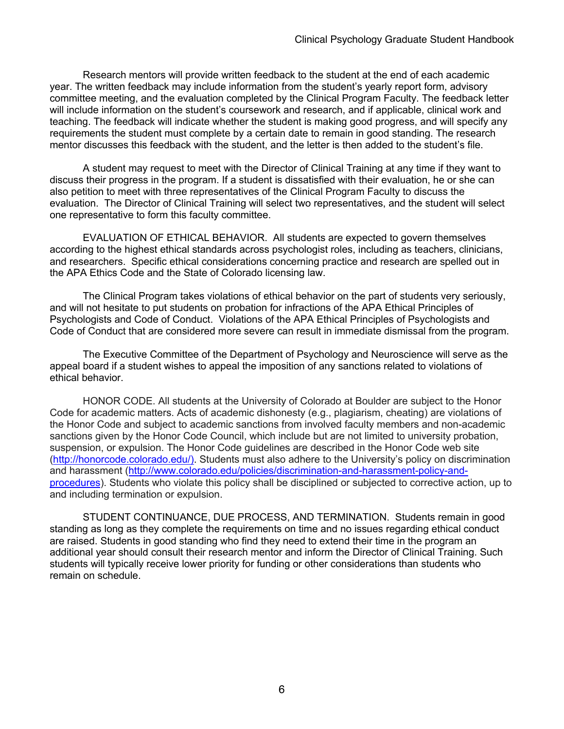Research mentors will provide written feedback to the student at the end of each academic year. The written feedback may include information from the student's yearly report form, advisory committee meeting, and the evaluation completed by the Clinical Program Faculty. The feedback letter will include information on the student's coursework and research, and if applicable, clinical work and teaching. The feedback will indicate whether the student is making good progress, and will specify any requirements the student must complete by a certain date to remain in good standing. The research mentor discusses this feedback with the student, and the letter is then added to the student's file.

A student may request to meet with the Director of Clinical Training at any time if they want to discuss their progress in the program. If a student is dissatisfied with their evaluation, he or she can also petition to meet with three representatives of the Clinical Program Faculty to discuss the evaluation. The Director of Clinical Training will select two representatives, and the student will select one representative to form this faculty committee.

EVALUATION OF ETHICAL BEHAVIOR. All students are expected to govern themselves according to the highest ethical standards across psychologist roles, including as teachers, clinicians, and researchers. Specific ethical considerations concerning practice and research are spelled out in the APA Ethics Code and the State of Colorado licensing law.

The Clinical Program takes violations of ethical behavior on the part of students very seriously, and will not hesitate to put students on probation for infractions of the APA Ethical Principles of Psychologists and Code of Conduct. Violations of the APA Ethical Principles of Psychologists and Code of Conduct that are considered more severe can result in immediate dismissal from the program.

The Executive Committee of the Department of Psychology and Neuroscience will serve as the appeal board if a student wishes to appeal the imposition of any sanctions related to violations of ethical behavior.

HONOR CODE. All students at the University of Colorado at Boulder are subject to the Honor Code for academic matters. Acts of academic dishonesty (e.g., plagiarism, cheating) are violations of the Honor Code and subject to academic sanctions from involved faculty members and non-academic sanctions given by the Honor Code Council, which include but are not limited to university probation, suspension, or expulsion. The Honor Code guidelines are described in the Honor Code web site (http://honorcode.colorado.edu/). Students must also adhere to the University's policy on discrimination and harassment (http://www.colorado.edu/policies/discrimination-and-harassment-policy-andprocedures). Students who violate this policy shall be disciplined or subjected to corrective action, up to and including termination or expulsion.

STUDENT CONTINUANCE, DUE PROCESS, AND TERMINATION. Students remain in good standing as long as they complete the requirements on time and no issues regarding ethical conduct are raised. Students in good standing who find they need to extend their time in the program an additional year should consult their research mentor and inform the Director of Clinical Training. Such students will typically receive lower priority for funding or other considerations than students who remain on schedule.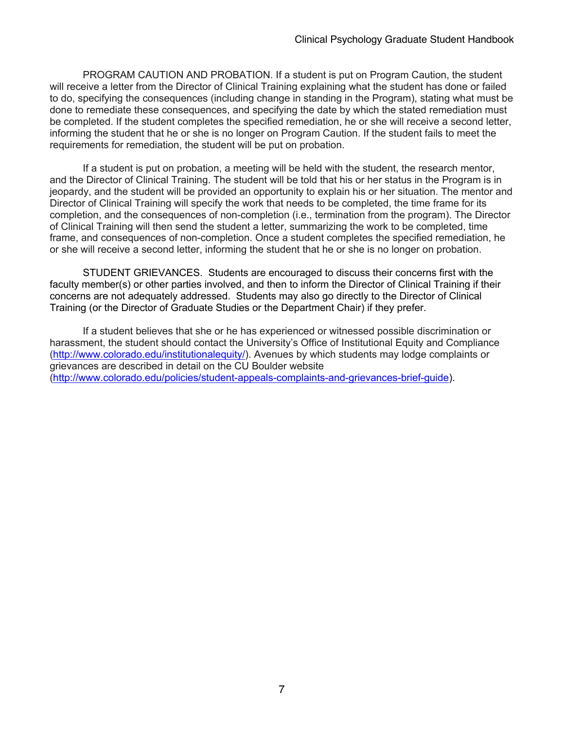PROGRAM CAUTION AND PROBATION. If a student is put on Program Caution, the student will receive a letter from the Director of Clinical Training explaining what the student has done or failed to do, specifying the consequences (including change in standing in the Program), stating what must be done to remediate these consequences, and specifying the date by which the stated remediation must be completed. If the student completes the specified remediation, he or she will receive a second letter, informing the student that he or she is no longer on Program Caution. If the student fails to meet the requirements for remediation, the student will be put on probation.

If a student is put on probation, a meeting will be held with the student, the research mentor, and the Director of Clinical Training. The student will be told that his or her status in the Program is in jeopardy, and the student will be provided an opportunity to explain his or her situation. The mentor and Director of Clinical Training will specify the work that needs to be completed, the time frame for its completion, and the consequences of non-completion (i.e., termination from the program). The Director of Clinical Training will then send the student a letter, summarizing the work to be completed, time frame, and consequences of non-completion. Once a student completes the specified remediation, he or she will receive a second letter, informing the student that he or she is no longer on probation.

STUDENT GRIEVANCES. Students are encouraged to discuss their concerns first with the faculty member(s) or other parties involved, and then to inform the Director of Clinical Training if their concerns are not adequately addressed. Students may also go directly to the Director of Clinical Training (or the Director of Graduate Studies or the Department Chair) if they prefer.

If a student believes that she or he has experienced or witnessed possible discrimination or harassment, the student should contact the University's Office of Institutional Equity and Compliance (http://www.colorado.edu/institutionalequity/). Avenues by which students may lodge complaints or grievances are described in detail on the CU Boulder website (http://www.colorado.edu/policies/student-appeals-complaints-and-grievances-brief-guide).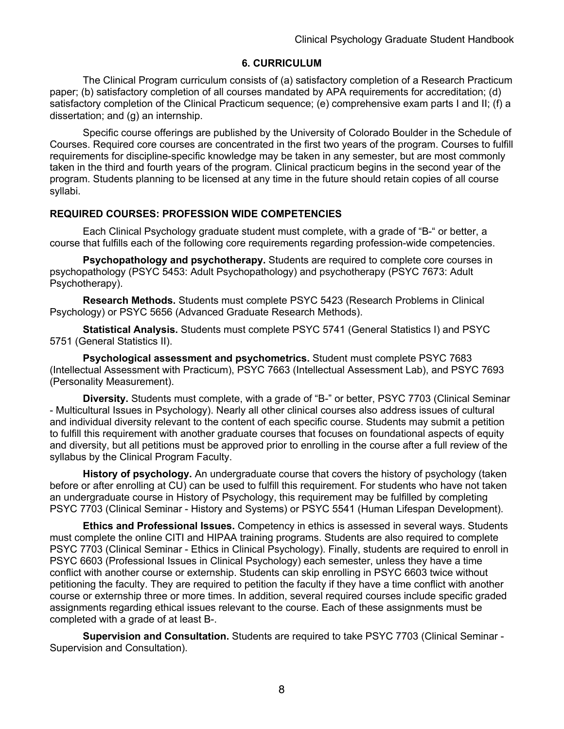## **6. CURRICULUM**

The Clinical Program curriculum consists of (a) satisfactory completion of a Research Practicum paper; (b) satisfactory completion of all courses mandated by APA requirements for accreditation; (d) satisfactory completion of the Clinical Practicum sequence; (e) comprehensive exam parts I and II; (f) a dissertation; and (g) an internship.

Specific course offerings are published by the University of Colorado Boulder in the Schedule of Courses. Required core courses are concentrated in the first two years of the program. Courses to fulfill requirements for discipline-specific knowledge may be taken in any semester, but are most commonly taken in the third and fourth years of the program. Clinical practicum begins in the second year of the program. Students planning to be licensed at any time in the future should retain copies of all course syllabi.

## **REQUIRED COURSES: PROFESSION WIDE COMPETENCIES**

Each Clinical Psychology graduate student must complete, with a grade of "B-" or better, a course that fulfills each of the following core requirements regarding profession-wide competencies.

**Psychopathology and psychotherapy.** Students are required to complete core courses in psychopathology (PSYC 5453: Adult Psychopathology) and psychotherapy (PSYC 7673: Adult Psychotherapy).

**Research Methods.** Students must complete PSYC 5423 (Research Problems in Clinical Psychology) or PSYC 5656 (Advanced Graduate Research Methods).

**Statistical Analysis.** Students must complete PSYC 5741 (General Statistics I) and PSYC 5751 (General Statistics II).

**Psychological assessment and psychometrics.** Student must complete PSYC 7683 (Intellectual Assessment with Practicum), PSYC 7663 (Intellectual Assessment Lab), and PSYC 7693 (Personality Measurement).

**Diversity.** Students must complete, with a grade of "B-" or better, PSYC 7703 (Clinical Seminar - Multicultural Issues in Psychology). Nearly all other clinical courses also address issues of cultural and individual diversity relevant to the content of each specific course. Students may submit a petition to fulfill this requirement with another graduate courses that focuses on foundational aspects of equity and diversity, but all petitions must be approved prior to enrolling in the course after a full review of the syllabus by the Clinical Program Faculty.

**History of psychology.** An undergraduate course that covers the history of psychology (taken before or after enrolling at CU) can be used to fulfill this requirement. For students who have not taken an undergraduate course in History of Psychology, this requirement may be fulfilled by completing PSYC 7703 (Clinical Seminar - History and Systems) or PSYC 5541 (Human Lifespan Development).

**Ethics and Professional Issues.** Competency in ethics is assessed in several ways. Students must complete the online CITI and HIPAA training programs. Students are also required to complete PSYC 7703 (Clinical Seminar - Ethics in Clinical Psychology). Finally, students are required to enroll in PSYC 6603 (Professional Issues in Clinical Psychology) each semester, unless they have a time conflict with another course or externship. Students can skip enrolling in PSYC 6603 twice without petitioning the faculty. They are required to petition the faculty if they have a time conflict with another course or externship three or more times. In addition, several required courses include specific graded assignments regarding ethical issues relevant to the course. Each of these assignments must be completed with a grade of at least B-.

**Supervision and Consultation.** Students are required to take PSYC 7703 (Clinical Seminar - Supervision and Consultation).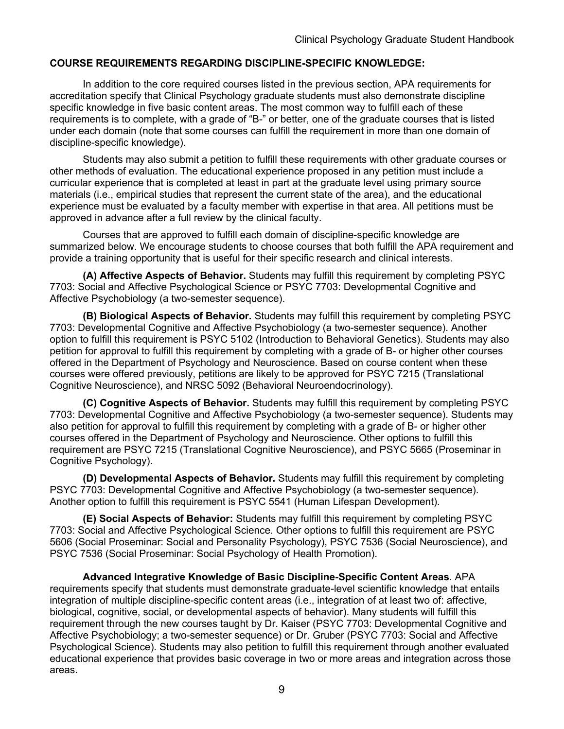## **COURSE REQUIREMENTS REGARDING DISCIPLINE-SPECIFIC KNOWLEDGE:**

In addition to the core required courses listed in the previous section, APA requirements for accreditation specify that Clinical Psychology graduate students must also demonstrate discipline specific knowledge in five basic content areas. The most common way to fulfill each of these requirements is to complete, with a grade of "B-" or better, one of the graduate courses that is listed under each domain (note that some courses can fulfill the requirement in more than one domain of discipline-specific knowledge).

Students may also submit a petition to fulfill these requirements with other graduate courses or other methods of evaluation. The educational experience proposed in any petition must include a curricular experience that is completed at least in part at the graduate level using primary source materials (i.e., empirical studies that represent the current state of the area), and the educational experience must be evaluated by a faculty member with expertise in that area. All petitions must be approved in advance after a full review by the clinical faculty.

Courses that are approved to fulfill each domain of discipline-specific knowledge are summarized below. We encourage students to choose courses that both fulfill the APA requirement and provide a training opportunity that is useful for their specific research and clinical interests.

**(A) Affective Aspects of Behavior.** Students may fulfill this requirement by completing PSYC 7703: Social and Affective Psychological Science or PSYC 7703: Developmental Cognitive and Affective Psychobiology (a two-semester sequence).

**(B) Biological Aspects of Behavior.** Students may fulfill this requirement by completing PSYC 7703: Developmental Cognitive and Affective Psychobiology (a two-semester sequence). Another option to fulfill this requirement is PSYC 5102 (Introduction to Behavioral Genetics). Students may also petition for approval to fulfill this requirement by completing with a grade of B- or higher other courses offered in the Department of Psychology and Neuroscience. Based on course content when these courses were offered previously, petitions are likely to be approved for PSYC 7215 (Translational Cognitive Neuroscience), and NRSC 5092 (Behavioral Neuroendocrinology).

**(C) Cognitive Aspects of Behavior.** Students may fulfill this requirement by completing PSYC 7703: Developmental Cognitive and Affective Psychobiology (a two-semester sequence). Students may also petition for approval to fulfill this requirement by completing with a grade of B- or higher other courses offered in the Department of Psychology and Neuroscience. Other options to fulfill this requirement are PSYC 7215 (Translational Cognitive Neuroscience), and PSYC 5665 (Proseminar in Cognitive Psychology).

**(D) Developmental Aspects of Behavior.** Students may fulfill this requirement by completing PSYC 7703: Developmental Cognitive and Affective Psychobiology (a two-semester sequence). Another option to fulfill this requirement is PSYC 5541 (Human Lifespan Development).

**(E) Social Aspects of Behavior:** Students may fulfill this requirement by completing PSYC 7703: Social and Affective Psychological Science. Other options to fulfill this requirement are PSYC 5606 (Social Proseminar: Social and Personality Psychology), PSYC 7536 (Social Neuroscience), and PSYC 7536 (Social Proseminar: Social Psychology of Health Promotion).

**Advanced Integrative Knowledge of Basic Discipline-Specific Content Areas**. APA requirements specify that students must demonstrate graduate-level scientific knowledge that entails integration of multiple discipline-specific content areas (i.e., integration of at least two of: affective, biological, cognitive, social, or developmental aspects of behavior). Many students will fulfill this requirement through the new courses taught by Dr. Kaiser (PSYC 7703: Developmental Cognitive and Affective Psychobiology; a two-semester sequence) or Dr. Gruber (PSYC 7703: Social and Affective Psychological Science). Students may also petition to fulfill this requirement through another evaluated educational experience that provides basic coverage in two or more areas and integration across those areas.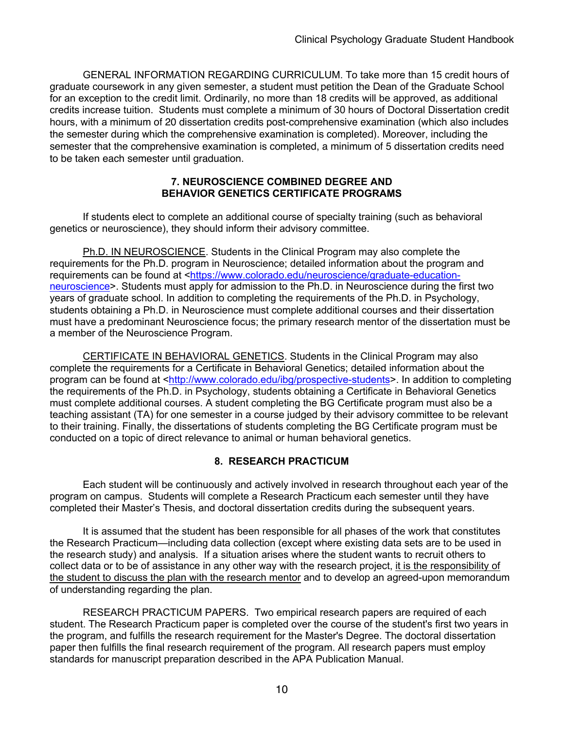GENERAL INFORMATION REGARDING CURRICULUM. To take more than 15 credit hours of graduate coursework in any given semester, a student must petition the Dean of the Graduate School for an exception to the credit limit. Ordinarily, no more than 18 credits will be approved, as additional credits increase tuition. Students must complete a minimum of 30 hours of Doctoral Dissertation credit hours, with a minimum of 20 dissertation credits post-comprehensive examination (which also includes the semester during which the comprehensive examination is completed). Moreover, including the semester that the comprehensive examination is completed, a minimum of 5 dissertation credits need to be taken each semester until graduation.

#### **7. NEUROSCIENCE COMBINED DEGREE AND BEHAVIOR GENETICS CERTIFICATE PROGRAMS**

If students elect to complete an additional course of specialty training (such as behavioral genetics or neuroscience), they should inform their advisory committee.

Ph.D. IN NEUROSCIENCE. Students in the Clinical Program may also complete the requirements for the Ph.D. program in Neuroscience; detailed information about the program and requirements can be found at <https://www.colorado.edu/neuroscience/graduate-educationneuroscience>. Students must apply for admission to the Ph.D. in Neuroscience during the first two years of graduate school. In addition to completing the requirements of the Ph.D. in Psychology, students obtaining a Ph.D. in Neuroscience must complete additional courses and their dissertation must have a predominant Neuroscience focus; the primary research mentor of the dissertation must be a member of the Neuroscience Program.

CERTIFICATE IN BEHAVIORAL GENETICS. Students in the Clinical Program may also complete the requirements for a Certificate in Behavioral Genetics; detailed information about the program can be found at <http://www.colorado.edu/ibg/prospective-students>. In addition to completing the requirements of the Ph.D. in Psychology, students obtaining a Certificate in Behavioral Genetics must complete additional courses. A student completing the BG Certificate program must also be a teaching assistant (TA) for one semester in a course judged by their advisory committee to be relevant to their training. Finally, the dissertations of students completing the BG Certificate program must be conducted on a topic of direct relevance to animal or human behavioral genetics.

# **8. RESEARCH PRACTICUM**

Each student will be continuously and actively involved in research throughout each year of the program on campus. Students will complete a Research Practicum each semester until they have completed their Master's Thesis, and doctoral dissertation credits during the subsequent years.

It is assumed that the student has been responsible for all phases of the work that constitutes the Research Practicum—including data collection (except where existing data sets are to be used in the research study) and analysis. If a situation arises where the student wants to recruit others to collect data or to be of assistance in any other way with the research project, it is the responsibility of the student to discuss the plan with the research mentor and to develop an agreed-upon memorandum of understanding regarding the plan.

RESEARCH PRACTICUM PAPERS. Two empirical research papers are required of each student. The Research Practicum paper is completed over the course of the student's first two years in the program, and fulfills the research requirement for the Master's Degree. The doctoral dissertation paper then fulfills the final research requirement of the program. All research papers must employ standards for manuscript preparation described in the APA Publication Manual.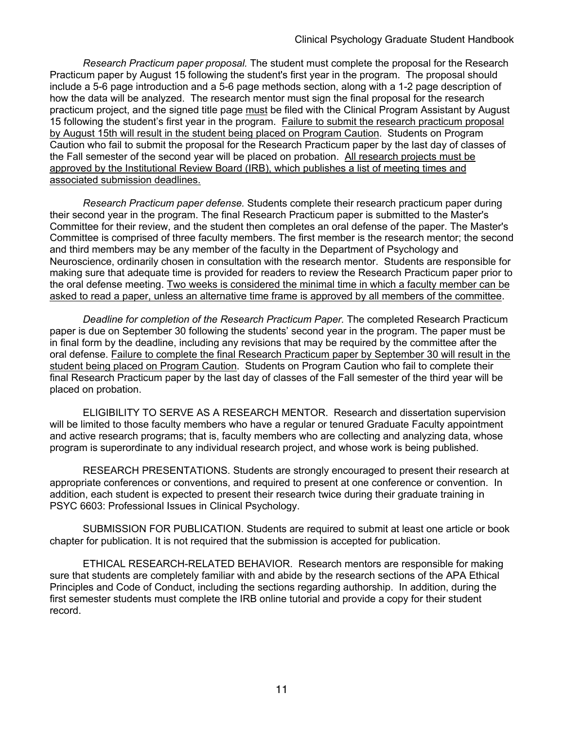*Research Practicum paper proposal.* The student must complete the proposal for the Research Practicum paper by August 15 following the student's first year in the program. The proposal should include a 5-6 page introduction and a 5-6 page methods section, along with a 1-2 page description of how the data will be analyzed. The research mentor must sign the final proposal for the research practicum project, and the signed title page must be filed with the Clinical Program Assistant by August 15 following the student's first year in the program. Failure to submit the research practicum proposal by August 15th will result in the student being placed on Program Caution. Students on Program Caution who fail to submit the proposal for the Research Practicum paper by the last day of classes of the Fall semester of the second year will be placed on probation. All research projects must be approved by the Institutional Review Board (IRB), which publishes a list of meeting times and associated submission deadlines.

*Research Practicum paper defense.* Students complete their research practicum paper during their second year in the program. The final Research Practicum paper is submitted to the Master's Committee for their review, and the student then completes an oral defense of the paper. The Master's Committee is comprised of three faculty members. The first member is the research mentor; the second and third members may be any member of the faculty in the Department of Psychology and Neuroscience, ordinarily chosen in consultation with the research mentor. Students are responsible for making sure that adequate time is provided for readers to review the Research Practicum paper prior to the oral defense meeting. Two weeks is considered the minimal time in which a faculty member can be asked to read a paper, unless an alternative time frame is approved by all members of the committee.

*Deadline for completion of the Research Practicum Paper.* The completed Research Practicum paper is due on September 30 following the students' second year in the program. The paper must be in final form by the deadline, including any revisions that may be required by the committee after the oral defense. Failure to complete the final Research Practicum paper by September 30 will result in the student being placed on Program Caution. Students on Program Caution who fail to complete their final Research Practicum paper by the last day of classes of the Fall semester of the third year will be placed on probation.

ELIGIBILITY TO SERVE AS A RESEARCH MENTOR. Research and dissertation supervision will be limited to those faculty members who have a regular or tenured Graduate Faculty appointment and active research programs; that is, faculty members who are collecting and analyzing data, whose program is superordinate to any individual research project, and whose work is being published.

RESEARCH PRESENTATIONS. Students are strongly encouraged to present their research at appropriate conferences or conventions, and required to present at one conference or convention. In addition, each student is expected to present their research twice during their graduate training in PSYC 6603: Professional Issues in Clinical Psychology.

SUBMISSION FOR PUBLICATION. Students are required to submit at least one article or book chapter for publication. It is not required that the submission is accepted for publication.

ETHICAL RESEARCH-RELATED BEHAVIOR. Research mentors are responsible for making sure that students are completely familiar with and abide by the research sections of the APA Ethical Principles and Code of Conduct, including the sections regarding authorship. In addition, during the first semester students must complete the IRB online tutorial and provide a copy for their student record.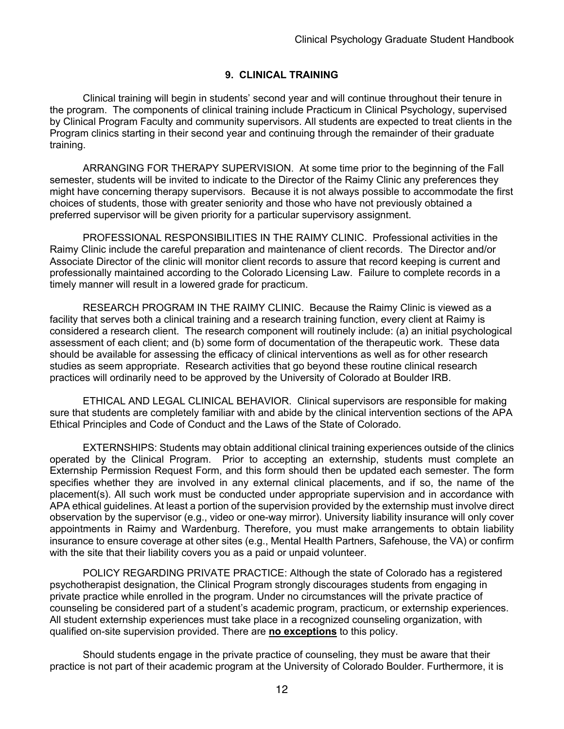# **9. CLINICAL TRAINING**

Clinical training will begin in students' second year and will continue throughout their tenure in the program. The components of clinical training include Practicum in Clinical Psychology, supervised by Clinical Program Faculty and community supervisors. All students are expected to treat clients in the Program clinics starting in their second year and continuing through the remainder of their graduate training.

ARRANGING FOR THERAPY SUPERVISION. At some time prior to the beginning of the Fall semester, students will be invited to indicate to the Director of the Raimy Clinic any preferences they might have concerning therapy supervisors. Because it is not always possible to accommodate the first choices of students, those with greater seniority and those who have not previously obtained a preferred supervisor will be given priority for a particular supervisory assignment.

PROFESSIONAL RESPONSIBILITIES IN THE RAIMY CLINIC. Professional activities in the Raimy Clinic include the careful preparation and maintenance of client records. The Director and/or Associate Director of the clinic will monitor client records to assure that record keeping is current and professionally maintained according to the Colorado Licensing Law. Failure to complete records in a timely manner will result in a lowered grade for practicum.

RESEARCH PROGRAM IN THE RAIMY CLINIC. Because the Raimy Clinic is viewed as a facility that serves both a clinical training and a research training function, every client at Raimy is considered a research client. The research component will routinely include: (a) an initial psychological assessment of each client; and (b) some form of documentation of the therapeutic work. These data should be available for assessing the efficacy of clinical interventions as well as for other research studies as seem appropriate. Research activities that go beyond these routine clinical research practices will ordinarily need to be approved by the University of Colorado at Boulder IRB.

ETHICAL AND LEGAL CLINICAL BEHAVIOR. Clinical supervisors are responsible for making sure that students are completely familiar with and abide by the clinical intervention sections of the APA Ethical Principles and Code of Conduct and the Laws of the State of Colorado.

EXTERNSHIPS: Students may obtain additional clinical training experiences outside of the clinics operated by the Clinical Program. Prior to accepting an externship, students must complete an Externship Permission Request Form, and this form should then be updated each semester. The form specifies whether they are involved in any external clinical placements, and if so, the name of the placement(s). All such work must be conducted under appropriate supervision and in accordance with APA ethical guidelines. At least a portion of the supervision provided by the externship must involve direct observation by the supervisor (e.g., video or one-way mirror). University liability insurance will only cover appointments in Raimy and Wardenburg. Therefore, you must make arrangements to obtain liability insurance to ensure coverage at other sites (e.g., Mental Health Partners, Safehouse, the VA) or confirm with the site that their liability covers you as a paid or unpaid volunteer.

POLICY REGARDING PRIVATE PRACTICE: Although the state of Colorado has a registered psychotherapist designation, the Clinical Program strongly discourages students from engaging in private practice while enrolled in the program. Under no circumstances will the private practice of counseling be considered part of a student's academic program, practicum, or externship experiences. All student externship experiences must take place in a recognized counseling organization, with qualified on-site supervision provided. There are **no exceptions** to this policy.

Should students engage in the private practice of counseling, they must be aware that their practice is not part of their academic program at the University of Colorado Boulder. Furthermore, it is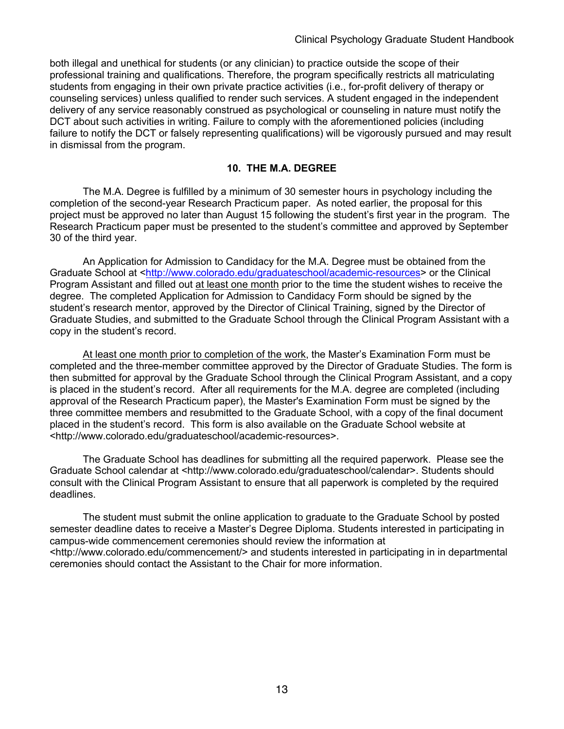both illegal and unethical for students (or any clinician) to practice outside the scope of their professional training and qualifications. Therefore, the program specifically restricts all matriculating students from engaging in their own private practice activities (i.e., for-profit delivery of therapy or counseling services) unless qualified to render such services. A student engaged in the independent delivery of any service reasonably construed as psychological or counseling in nature must notify the DCT about such activities in writing. Failure to comply with the aforementioned policies (including failure to notify the DCT or falsely representing qualifications) will be vigorously pursued and may result in dismissal from the program.

### **10. THE M.A. DEGREE**

The M.A. Degree is fulfilled by a minimum of 30 semester hours in psychology including the completion of the second-year Research Practicum paper. As noted earlier, the proposal for this project must be approved no later than August 15 following the student's first year in the program. The Research Practicum paper must be presented to the student's committee and approved by September 30 of the third year.

An Application for Admission to Candidacy for the M.A. Degree must be obtained from the Graduate School at <http://www.colorado.edu/graduateschool/academic-resources> or the Clinical Program Assistant and filled out at least one month prior to the time the student wishes to receive the degree. The completed Application for Admission to Candidacy Form should be signed by the student's research mentor, approved by the Director of Clinical Training, signed by the Director of Graduate Studies, and submitted to the Graduate School through the Clinical Program Assistant with a copy in the student's record.

At least one month prior to completion of the work, the Master's Examination Form must be completed and the three-member committee approved by the Director of Graduate Studies. The form is then submitted for approval by the Graduate School through the Clinical Program Assistant, and a copy is placed in the student's record. After all requirements for the M.A. degree are completed (including approval of the Research Practicum paper), the Master's Examination Form must be signed by the three committee members and resubmitted to the Graduate School, with a copy of the final document placed in the student's record. This form is also available on the Graduate School website at <http://www.colorado.edu/graduateschool/academic-resources>.

The Graduate School has deadlines for submitting all the required paperwork. Please see the Graduate School calendar at <http://www.colorado.edu/graduateschool/calendar>. Students should consult with the Clinical Program Assistant to ensure that all paperwork is completed by the required deadlines.

The student must submit the online application to graduate to the Graduate School by posted semester deadline dates to receive a Master's Degree Diploma. Students interested in participating in campus-wide commencement ceremonies should review the information at <http://www.colorado.edu/commencement/> and students interested in participating in in departmental ceremonies should contact the Assistant to the Chair for more information.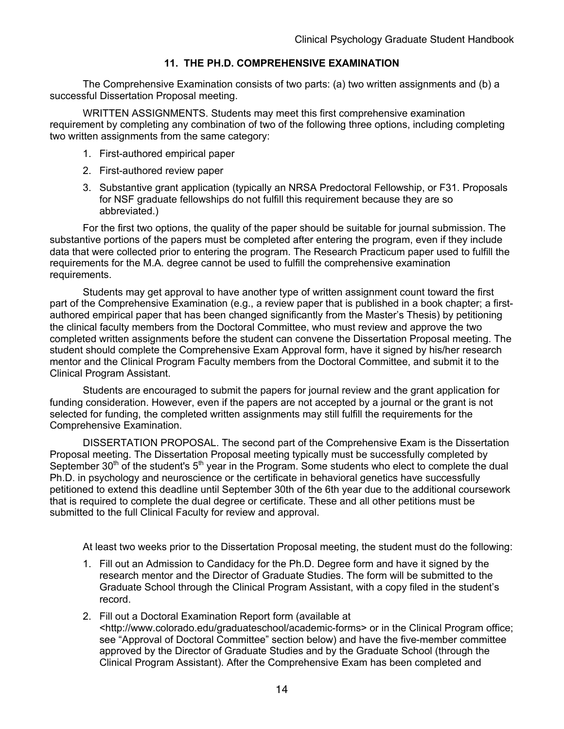# **11. THE PH.D. COMPREHENSIVE EXAMINATION**

The Comprehensive Examination consists of two parts: (a) two written assignments and (b) a successful Dissertation Proposal meeting.

WRITTEN ASSIGNMENTS. Students may meet this first comprehensive examination requirement by completing any combination of two of the following three options, including completing two written assignments from the same category:

- 1. First-authored empirical paper
- 2. First-authored review paper
- 3. Substantive grant application (typically an NRSA Predoctoral Fellowship, or F31. Proposals for NSF graduate fellowships do not fulfill this requirement because they are so abbreviated.)

For the first two options, the quality of the paper should be suitable for journal submission. The substantive portions of the papers must be completed after entering the program, even if they include data that were collected prior to entering the program. The Research Practicum paper used to fulfill the requirements for the M.A. degree cannot be used to fulfill the comprehensive examination requirements.

Students may get approval to have another type of written assignment count toward the first part of the Comprehensive Examination (e.g., a review paper that is published in a book chapter; a firstauthored empirical paper that has been changed significantly from the Master's Thesis) by petitioning the clinical faculty members from the Doctoral Committee, who must review and approve the two completed written assignments before the student can convene the Dissertation Proposal meeting. The student should complete the Comprehensive Exam Approval form, have it signed by his/her research mentor and the Clinical Program Faculty members from the Doctoral Committee, and submit it to the Clinical Program Assistant.

Students are encouraged to submit the papers for journal review and the grant application for funding consideration. However, even if the papers are not accepted by a journal or the grant is not selected for funding, the completed written assignments may still fulfill the requirements for the Comprehensive Examination.

DISSERTATION PROPOSAL. The second part of the Comprehensive Exam is the Dissertation Proposal meeting. The Dissertation Proposal meeting typically must be successfully completed by September  $30<sup>th</sup>$  of the student's  $5<sup>th</sup>$  year in the Program. Some students who elect to complete the dual Ph.D. in psychology and neuroscience or the certificate in behavioral genetics have successfully petitioned to extend this deadline until September 30th of the 6th year due to the additional coursework that is required to complete the dual degree or certificate. These and all other petitions must be submitted to the full Clinical Faculty for review and approval.

At least two weeks prior to the Dissertation Proposal meeting, the student must do the following:

- 1. Fill out an Admission to Candidacy for the Ph.D. Degree form and have it signed by the research mentor and the Director of Graduate Studies. The form will be submitted to the Graduate School through the Clinical Program Assistant, with a copy filed in the student's record.
- 2. Fill out a Doctoral Examination Report form (available at <http://www.colorado.edu/graduateschool/academic-forms> or in the Clinical Program office; see "Approval of Doctoral Committee" section below) and have the five-member committee approved by the Director of Graduate Studies and by the Graduate School (through the Clinical Program Assistant). After the Comprehensive Exam has been completed and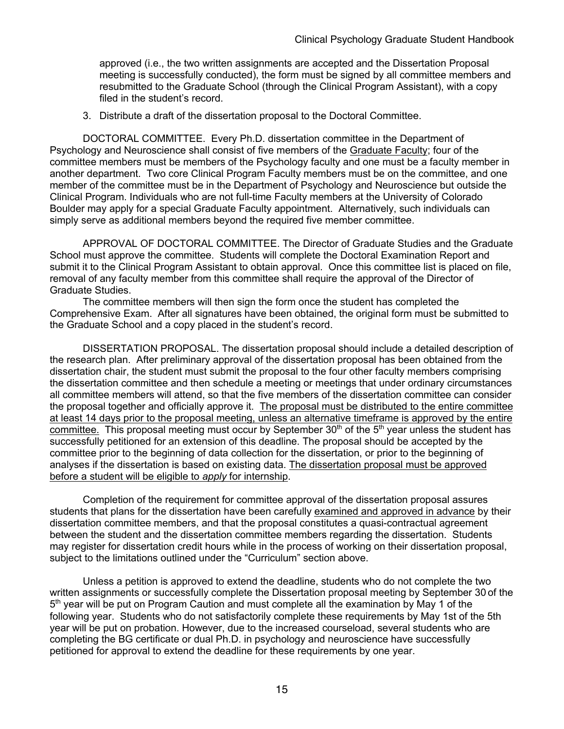approved (i.e., the two written assignments are accepted and the Dissertation Proposal meeting is successfully conducted), the form must be signed by all committee members and resubmitted to the Graduate School (through the Clinical Program Assistant), with a copy filed in the student's record.

3. Distribute a draft of the dissertation proposal to the Doctoral Committee.

DOCTORAL COMMITTEE. Every Ph.D. dissertation committee in the Department of Psychology and Neuroscience shall consist of five members of the Graduate Faculty; four of the committee members must be members of the Psychology faculty and one must be a faculty member in another department. Two core Clinical Program Faculty members must be on the committee, and one member of the committee must be in the Department of Psychology and Neuroscience but outside the Clinical Program. Individuals who are not full-time Faculty members at the University of Colorado Boulder may apply for a special Graduate Faculty appointment. Alternatively, such individuals can simply serve as additional members beyond the required five member committee.

APPROVAL OF DOCTORAL COMMITTEE. The Director of Graduate Studies and the Graduate School must approve the committee. Students will complete the Doctoral Examination Report and submit it to the Clinical Program Assistant to obtain approval. Once this committee list is placed on file, removal of any faculty member from this committee shall require the approval of the Director of Graduate Studies.

The committee members will then sign the form once the student has completed the Comprehensive Exam. After all signatures have been obtained, the original form must be submitted to the Graduate School and a copy placed in the student's record.

DISSERTATION PROPOSAL. The dissertation proposal should include a detailed description of the research plan. After preliminary approval of the dissertation proposal has been obtained from the dissertation chair, the student must submit the proposal to the four other faculty members comprising the dissertation committee and then schedule a meeting or meetings that under ordinary circumstances all committee members will attend, so that the five members of the dissertation committee can consider the proposal together and officially approve it. The proposal must be distributed to the entire committee at least 14 days prior to the proposal meeting, unless an alternative timeframe is approved by the entire committee. This proposal meeting must occur by September  $30<sup>th</sup>$  of the  $5<sup>th</sup>$  year unless the student has successfully petitioned for an extension of this deadline. The proposal should be accepted by the committee prior to the beginning of data collection for the dissertation, or prior to the beginning of analyses if the dissertation is based on existing data. The dissertation proposal must be approved before a student will be eligible to *apply* for internship.

Completion of the requirement for committee approval of the dissertation proposal assures students that plans for the dissertation have been carefully examined and approved in advance by their dissertation committee members, and that the proposal constitutes a quasi-contractual agreement between the student and the dissertation committee members regarding the dissertation. Students may register for dissertation credit hours while in the process of working on their dissertation proposal, subject to the limitations outlined under the "Curriculum" section above.

Unless a petition is approved to extend the deadline, students who do not complete the two written assignments or successfully complete the Dissertation proposal meeting by September 30 of the 5<sup>th</sup> year will be put on Program Caution and must complete all the examination by May 1 of the following year. Students who do not satisfactorily complete these requirements by May 1st of the 5th year will be put on probation. However, due to the increased courseload, several students who are completing the BG certificate or dual Ph.D. in psychology and neuroscience have successfully petitioned for approval to extend the deadline for these requirements by one year.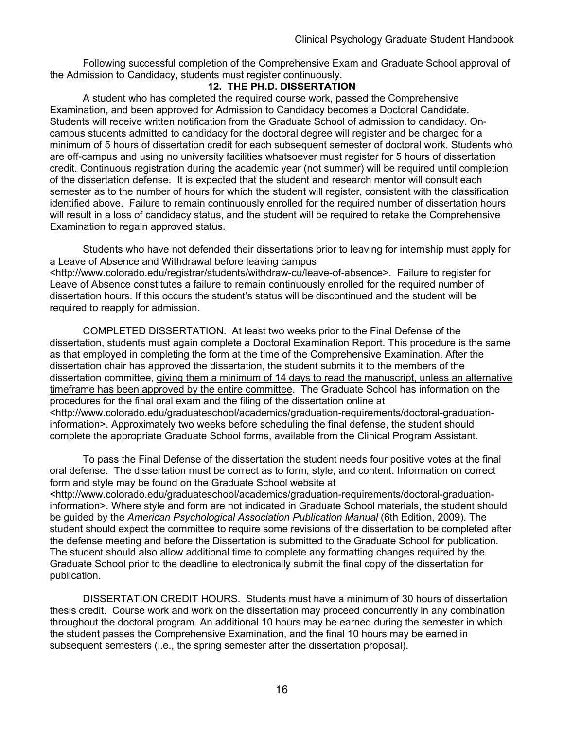Following successful completion of the Comprehensive Exam and Graduate School approval of the Admission to Candidacy, students must register continuously.

#### **12. THE PH.D. DISSERTATION**

A student who has completed the required course work, passed the Comprehensive Examination, and been approved for Admission to Candidacy becomes a Doctoral Candidate. Students will receive written notification from the Graduate School of admission to candidacy. Oncampus students admitted to candidacy for the doctoral degree will register and be charged for a minimum of 5 hours of dissertation credit for each subsequent semester of doctoral work. Students who are off-campus and using no university facilities whatsoever must register for 5 hours of dissertation credit. Continuous registration during the academic year (not summer) will be required until completion of the dissertation defense. It is expected that the student and research mentor will consult each semester as to the number of hours for which the student will register, consistent with the classification identified above. Failure to remain continuously enrolled for the required number of dissertation hours will result in a loss of candidacy status, and the student will be required to retake the Comprehensive Examination to regain approved status.

Students who have not defended their dissertations prior to leaving for internship must apply for a Leave of Absence and Withdrawal before leaving campus <http://www.colorado.edu/registrar/students/withdraw-cu/leave-of-absence>. Failure to register for Leave of Absence constitutes a failure to remain continuously enrolled for the required number of dissertation hours. If this occurs the student's status will be discontinued and the student will be required to reapply for admission.

COMPLETED DISSERTATION. At least two weeks prior to the Final Defense of the dissertation, students must again complete a Doctoral Examination Report. This procedure is the same as that employed in completing the form at the time of the Comprehensive Examination. After the dissertation chair has approved the dissertation, the student submits it to the members of the dissertation committee, giving them a minimum of 14 days to read the manuscript, unless an alternative timeframe has been approved by the entire committee. The Graduate School has information on the procedures for the final oral exam and the filing of the dissertation online at <http://www.colorado.edu/graduateschool/academics/graduation-requirements/doctoral-graduationinformation>. Approximately two weeks before scheduling the final defense, the student should complete the appropriate Graduate School forms, available from the Clinical Program Assistant.

To pass the Final Defense of the dissertation the student needs four positive votes at the final oral defense. The dissertation must be correct as to form, style, and content. Information on correct form and style may be found on the Graduate School website at

<http://www.colorado.edu/graduateschool/academics/graduation-requirements/doctoral-graduationinformation>. Where style and form are not indicated in Graduate School materials, the student should be guided by the *American Psychological Association Publication Manual* (6th Edition, 2009). The student should expect the committee to require some revisions of the dissertation to be completed after the defense meeting and before the Dissertation is submitted to the Graduate School for publication. The student should also allow additional time to complete any formatting changes required by the Graduate School prior to the deadline to electronically submit the final copy of the dissertation for publication.

DISSERTATION CREDIT HOURS. Students must have a minimum of 30 hours of dissertation thesis credit. Course work and work on the dissertation may proceed concurrently in any combination throughout the doctoral program. An additional 10 hours may be earned during the semester in which the student passes the Comprehensive Examination, and the final 10 hours may be earned in subsequent semesters (i.e., the spring semester after the dissertation proposal).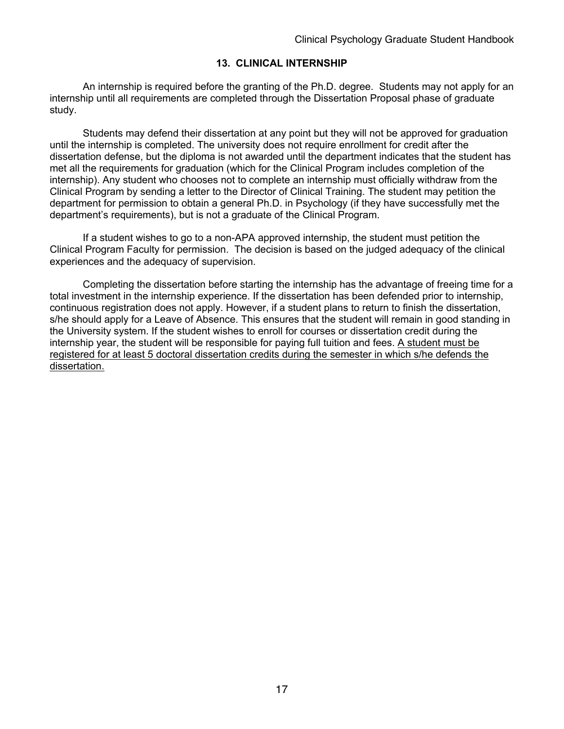#### **13. CLINICAL INTERNSHIP**

An internship is required before the granting of the Ph.D. degree. Students may not apply for an internship until all requirements are completed through the Dissertation Proposal phase of graduate study.

Students may defend their dissertation at any point but they will not be approved for graduation until the internship is completed. The university does not require enrollment for credit after the dissertation defense, but the diploma is not awarded until the department indicates that the student has met all the requirements for graduation (which for the Clinical Program includes completion of the internship). Any student who chooses not to complete an internship must officially withdraw from the Clinical Program by sending a letter to the Director of Clinical Training. The student may petition the department for permission to obtain a general Ph.D. in Psychology (if they have successfully met the department's requirements), but is not a graduate of the Clinical Program.

If a student wishes to go to a non-APA approved internship, the student must petition the Clinical Program Faculty for permission. The decision is based on the judged adequacy of the clinical experiences and the adequacy of supervision.

Completing the dissertation before starting the internship has the advantage of freeing time for a total investment in the internship experience. If the dissertation has been defended prior to internship, continuous registration does not apply. However, if a student plans to return to finish the dissertation, s/he should apply for a Leave of Absence. This ensures that the student will remain in good standing in the University system. If the student wishes to enroll for courses or dissertation credit during the internship year, the student will be responsible for paying full tuition and fees. A student must be registered for at least 5 doctoral dissertation credits during the semester in which s/he defends the dissertation.